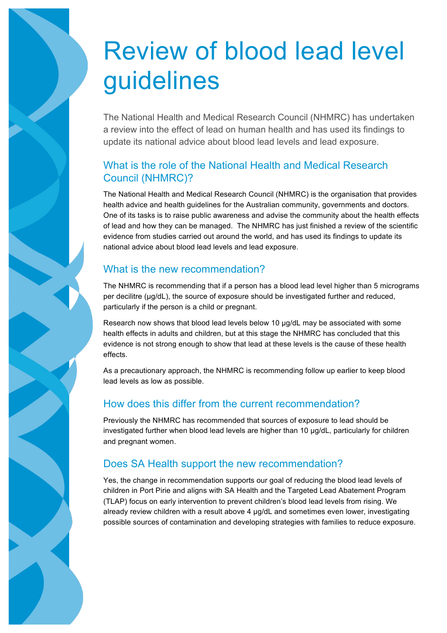# Review of blood lead level guidelines

The National Health and Medical Research Council (NHMRC) has undertaken a review into the effect of lead on human health and has used its findings to update its national advice about blood lead levels and lead exposure.

# What is the role of the National Health and Medical Research Council (NHMRC)?

The National Health and Medical Research Council (NHMRC) is the organisation that provides health advice and health guidelines for the Australian community, governments and doctors. One of its tasks is to raise public awareness and advise the community about the health effects of lead and how they can be managed. The NHMRC has just finished a review of the scientific evidence from studies carried out around the world, and has used its findings to update its national advice about blood lead levels and lead exposure.

# What is the new recommendation?

The NHMRC is recommending that if a person has a blood lead level higher than 5 micrograms per decilitre ( $\mu$ g/dL), the source of exposure should be investigated further and reduced, particularly if the person is a child or pregnant.

Research now shows that blood lead levels below 10 µg/dL may be associated with some health effects in adults and children, but at this stage the NHMRC has concluded that this evidence is not strong enough to show that lead at these levels is the cause of these health effects.

As a precautionary approach, the NHMRC is recommending follow up earlier to keep blood lead levels as low as possible.

# How does this differ from the current recommendation?

Previously the NHMRC has recommended that sources of exposure to lead should be investigated further when blood lead levels are higher than 10 µg/dL, particularly for children and pregnant women.

# Does SA Health support the new recommendation?

Yes, the change in recommendation supports our goal of reducing the blood lead levels of children in Port Pirie and aligns with SA Health and the Targeted Lead Abatement Program (TLAP) focus on early intervention to prevent children's blood lead levels from rising. We already review children with a result above 4 µg/dL and sometimes even lower, investigating possible sources of contamination and developing strategies with families to reduce exposure.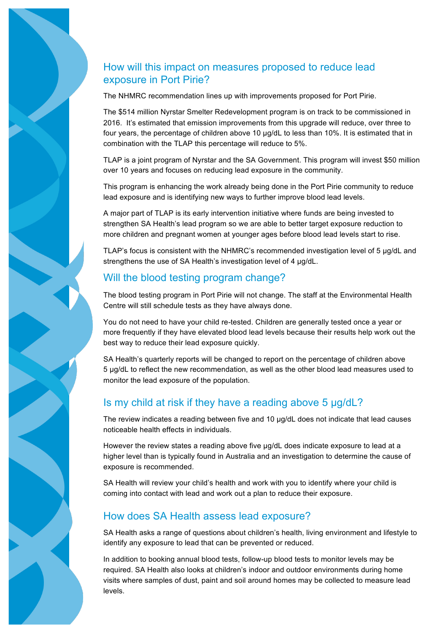# How will this impact on measures proposed to reduce lead exposure in Port Pirie?

The NHMRC recommendation lines up with improvements proposed for Port Pirie.

The \$514 million Nyrstar Smelter Redevelopment program is on track to be commissioned in 2016. It's estimated that emission improvements from this upgrade will reduce, over three to four years, the percentage of children above 10 µg/dL to less than 10%. It is estimated that in combination with the TLAP this percentage will reduce to 5%.

TLAP is a joint program of Nyrstar and the SA Government. This program will invest \$50 million over 10 years and focuses on reducing lead exposure in the community.

This program is enhancing the work already being done in the Port Pirie community to reduce lead exposure and is identifying new ways to further improve blood lead levels.

A major part of TLAP is its early intervention initiative where funds are being invested to strengthen SA Health's lead program so we are able to better target exposure reduction to more children and pregnant women at younger ages before blood lead levels start to rise.

TLAP's focus is consistent with the NHMRC's recommended investigation level of 5 µg/dL and strengthens the use of SA Health's investigation level of 4  $\mu$ g/dL.

#### Will the blood testing program change?

The blood testing program in Port Pirie will not change. The staff at the Environmental Health Centre will still schedule tests as they have always done.

You do not need to have your child re-tested. Children are generally tested once a year or more frequently if they have elevated blood lead levels because their results help work out the best way to reduce their lead exposure quickly.

SA Health's quarterly reports will be changed to report on the percentage of children above 5 µg/dL to reflect the new recommendation, as well as the other blood lead measures used to monitor the lead exposure of the population.

#### Is my child at risk if they have a reading above 5 µg/dL?

The review indicates a reading between five and 10 µg/dL does not indicate that lead causes noticeable health effects in individuals.

However the review states a reading above five  $\mu$ g/dL does indicate exposure to lead at a higher level than is typically found in Australia and an investigation to determine the cause of exposure is recommended.

SA Health will review your child's health and work with you to identify where your child is coming into contact with lead and work out a plan to reduce their exposure.

#### How does SA Health assess lead exposure?

SA Health asks a range of questions about children's health, living environment and lifestyle to identify any exposure to lead that can be prevented or reduced.

In addition to booking annual blood tests, follow-up blood tests to monitor levels may be required. SA Health also looks at children's indoor and outdoor environments during home visits where samples of dust, paint and soil around homes may be collected to measure lead levels.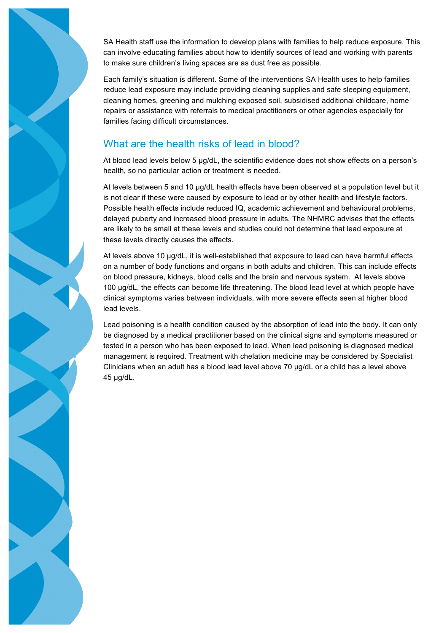SA Health staff use the information to develop plans with families to help reduce exposure. This can involve educating families about how to identify sources of lead and working with parents to make sure children's living spaces are as dust free as possible.

Each family's situation is different. Some of the interventions SA Health uses to help families reduce lead exposure may include providing cleaning supplies and safe sleeping equipment, cleaning homes, greening and mulching exposed soil, subsidised additional childcare, home repairs or assistance with referrals to medical practitioners or other agencies especially for families facing difficult circumstances.

#### What are the health risks of lead in blood?

At blood lead levels below 5 µg/dL, the scientific evidence does not show effects on a person's health, so no particular action or treatment is needed.

At levels between 5 and 10 µg/dL health effects have been observed at a population level but it is not clear if these were caused by exposure to lead or by other health and lifestyle factors. Possible health effects include reduced IQ, academic achievement and behavioural problems, delayed puberty and increased blood pressure in adults. The NHMRC advises that the effects are likely to be small at these levels and studies could not determine that lead exposure at these levels directly causes the effects.

At levels above 10 µg/dL, it is well-established that exposure to lead can have harmful effects on a number of body functions and organs in both adults and children. This can include effects on blood pressure, kidneys, blood cells and the brain and nervous system. At levels above 100 µg/dL, the effects can become life threatening. The blood lead level at which people have clinical symptoms varies between individuals, with more severe effects seen at higher blood lead levels.

Lead poisoning is a health condition caused by the absorption of lead into the body. It can only be diagnosed by a medical practitioner based on the clinical signs and symptoms measured or tested in a person who has been exposed to lead. When lead poisoning is diagnosed medical management is required. Treatment with chelation medicine may be considered by Specialist Clinicians when an adult has a blood lead level above 70 µg/dL or a child has a level above 45 µg/dL.